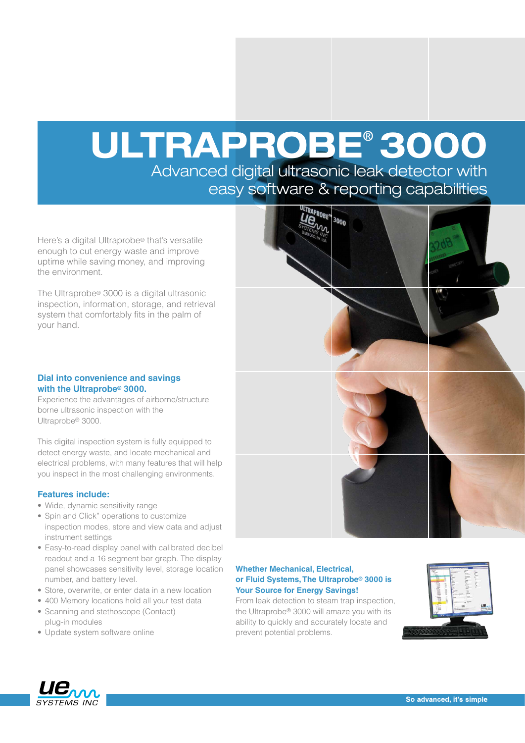# ULTRAPROBE® 3000

Advanced digital ultrasonic leak detector with easy software & reporting capabilities

Here's a digital Ultraprobe® that's versatile enough to cut energy waste and improve uptime while saving money, and improving the environment.

The Ultraprobe® 3000 is a digital ultrasonic inspection, information, storage, and retrieval system that comfortably fits in the palm of your hand.

#### **Dial into convenience and savings with the Ultraprobe® 3000.**

Experience the advantages of airborne/structure borne ultrasonic inspection with the Ultraprobe® 3000.

This digital inspection system is fully equipped to detect energy waste, and locate mechanical and electrical problems, with many features that will help you inspect in the most challenging environments.

#### **Features include:**

- Wide, dynamic sensitivity range
- Spin and Click" operations to customize inspection modes, store and view data and adjust instrument settings
- Easy-to-read display panel with calibrated decibel readout and a 16 segment bar graph. The display panel showcases sensitivity level, storage location number, and battery level.
- Store, overwrite, or enter data in a new location
- 400 Memory locations hold all your test data
- Scanning and stethoscope (Contact) plug-in modules
- Update system software online



#### **Whether Mechanical, Electrical, or Fluid Systems, The Ultraprobe® 3000 is Your Source for Energy Savings!**

From leak detection to steam trap inspection, the Ultraprobe® 3000 will amaze you with its ability to quickly and accurately locate and prevent potential problems.